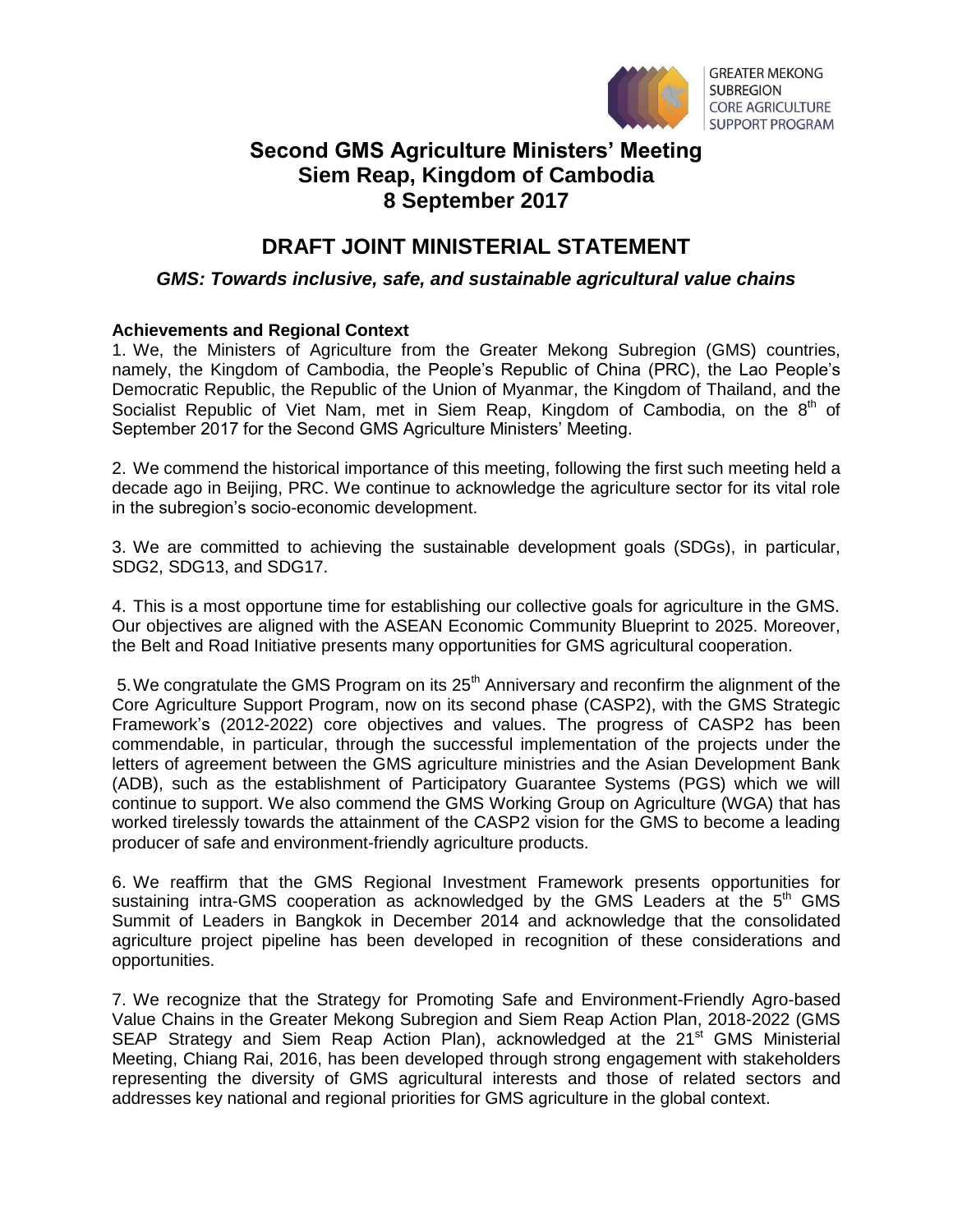

**GREATER MEKONG SUBREGION CORE AGRICULTURE SUPPORT PROGRAM** 

## **Second GMS Agriculture Ministers' Meeting Siem Reap, Kingdom of Cambodia 8 September 2017**

# **DRAFT JOINT MINISTERIAL STATEMENT**

### *GMS: Towards inclusive, safe, and sustainable agricultural value chains*

#### **Achievements and Regional Context**

1. We, the Ministers of Agriculture from the Greater Mekong Subregion (GMS) countries, namely, the Kingdom of Cambodia, the People's Republic of China (PRC), the Lao People's Democratic Republic, the Republic of the Union of Myanmar, the Kingdom of Thailand, and the Socialist Republic of Viet Nam, met in Siem Reap, Kingdom of Cambodia, on the  $8<sup>th</sup>$  of September 2017 for the Second GMS Agriculture Ministers' Meeting.

2. We commend the historical importance of this meeting, following the first such meeting held a decade ago in Beijing, PRC. We continue to acknowledge the agriculture sector for its vital role in the subregion's socio-economic development.

3. We are committed to achieving the sustainable development goals (SDGs), in particular, SDG2, SDG13, and SDG17.

4. This is a most opportune time for establishing our collective goals for agriculture in the GMS. Our objectives are aligned with the ASEAN Economic Community Blueprint to 2025. Moreover, the Belt and Road Initiative presents many opportunities for GMS agricultural cooperation.

5. We congratulate the GMS Program on its  $25<sup>th</sup>$  Anniversary and reconfirm the alignment of the Core Agriculture Support Program, now on its second phase (CASP2), with the GMS Strategic Framework's (2012-2022) core objectives and values. The progress of CASP2 has been commendable, in particular, through the successful implementation of the projects under the letters of agreement between the GMS agriculture ministries and the Asian Development Bank (ADB), such as the establishment of Participatory Guarantee Systems (PGS) which we will continue to support. We also commend the GMS Working Group on Agriculture (WGA) that has worked tirelessly towards the attainment of the CASP2 vision for the GMS to become a leading producer of safe and environment-friendly agriculture products.

6. We reaffirm that the GMS Regional Investment Framework presents opportunities for sustaining intra-GMS cooperation as acknowledged by the GMS Leaders at the  $5<sup>th</sup>$  GMS Summit of Leaders in Bangkok in December 2014 and acknowledge that the consolidated agriculture project pipeline has been developed in recognition of these considerations and opportunities.

7. We recognize that the Strategy for Promoting Safe and Environment-Friendly Agro-based Value Chains in the Greater Mekong Subregion and Siem Reap Action Plan, 2018-2022 (GMS SEAP Strategy and Siem Reap Action Plan), acknowledged at the 21<sup>st</sup> GMS Ministerial Meeting, Chiang Rai, 2016, has been developed through strong engagement with stakeholders representing the diversity of GMS agricultural interests and those of related sectors and addresses key national and regional priorities for GMS agriculture in the global context.